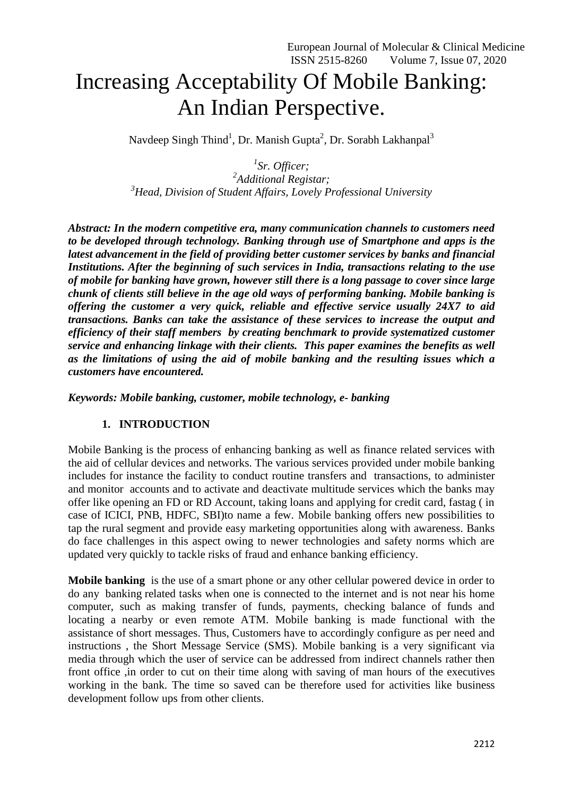# Increasing Acceptability Of Mobile Banking: An Indian Perspective.

Navdeep Singh Thind<sup>1</sup>, Dr. Manish Gupta<sup>2</sup>, Dr. Sorabh Lakhanpal<sup>3</sup>

*1 Sr. Officer; 2 Additional Registar; <sup>3</sup>Head, Division of Student Affairs, Lovely Professional University*

*Abstract: In the modern competitive era, many communication channels to customers need to be developed through technology. Banking through use of Smartphone and apps is the latest advancement in the field of providing better customer services by banks and financial Institutions. After the beginning of such services in India, transactions relating to the use of mobile for banking have grown, however still there is a long passage to cover since large chunk of clients still believe in the age old ways of performing banking. Mobile banking is offering the customer a very quick, reliable and effective service usually 24X7 to aid transactions. Banks can take the assistance of these services to increase the output and efficiency of their staff members by creating benchmark to provide systematized customer service and enhancing linkage with their clients. This paper examines the benefits as well as the limitations of using the aid of mobile banking and the resulting issues which a customers have encountered.*

*Keywords: Mobile banking, customer, mobile technology, e- banking*

#### **1. INTRODUCTION**

Mobile Banking is the process of enhancing banking as well as finance related services with the aid of cellular devices and networks. The various services provided under mobile banking includes for instance the facility to conduct routine transfers and transactions, to administer and monitor accounts and to activate and deactivate multitude services which the banks may offer like opening an FD or RD Account, taking loans and applying for credit card, fastag ( in case of ICICI, PNB, HDFC, SBI)to name a few. Mobile banking offers new possibilities to tap the rural segment and provide easy marketing opportunities along with awareness. Banks do face challenges in this aspect owing to newer technologies and safety norms which are updated very quickly to tackle risks of fraud and enhance banking efficiency.

**Mobile banking** is the use of a smart phone or any other cellular powered device in order to do any [banking](https://investinganswers.com/dictionary/o/online-banking) related tasks when one is connected to the internet and is not near his home computer, such as making transfer of funds, payments, checking balance of funds and locating a nearby or even remote ATM. Mobile banking is made functional with the assistance of short messages. Thus, Customers have to accordingly configure as per need and instructions , the Short Message Service (SMS). Mobile banking is a very significant via media through which the user of service can be addressed from indirect channels rather then front office ,in order to cut on their time along with saving of man hours of the executives working in the bank. The time so saved can be therefore used for activities like business development follow ups from other clients.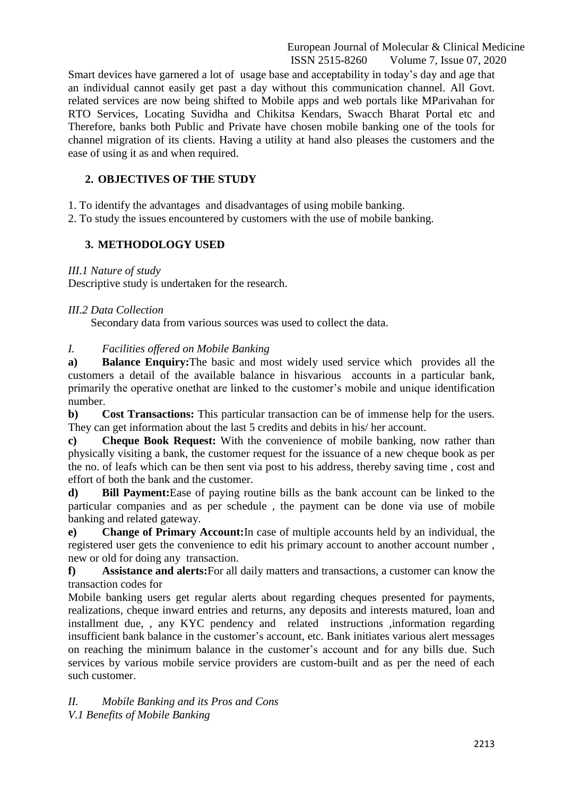European Journal of Molecular & Clinical Medicine ISSN 2515-8260 Volume 7, Issue 07, 2020

Smart devices have garnered a lot of usage base and acceptability in today's day and age that an individual cannot easily get past a day without this communication channel. All Govt. related services are now being shifted to Mobile apps and web portals like MParivahan for RTO Services, Locating Suvidha and Chikitsa Kendars, Swacch Bharat Portal etc and Therefore, banks both Public and Private have chosen mobile banking one of the tools for channel migration of its clients. Having a utility at hand also pleases the customers and the ease of using it as and when required.

#### **2. OBJECTIVES OF THE STUDY**

1. To identify the advantages and disadvantages of using mobile banking.

2. To study the issues encountered by customers with the use of mobile banking.

### **3. METHODOLOGY USED**

*III.1 Nature of study*

Descriptive study is undertaken for the research.

#### *III.2 Data Collection*

Secondary data from various sources was used to collect the data.

#### *I. Facilities offered on Mobile Banking*

**a) Balance Enquiry:**The basic and most widely used service which provides all the customers a detail of the available balance in hisvarious accounts in a particular bank, primarily the operative onethat are linked to the customer's mobile and unique identification number.

**b) Cost Transactions:** This particular transaction can be of immense help for the users. They can get information about the last 5 credits and debits in his/ her account.

**c) Cheque Book Request:** With the convenience of mobile banking, now rather than physically visiting a bank, the customer request for the issuance of a new cheque book as per the no. of leafs which can be then sent via post to his address, thereby saving time , cost and effort of both the bank and the customer.

**d) Bill Payment:**Ease of paying routine bills as the bank account can be linked to the particular companies and as per schedule , the payment can be done via use of mobile banking and related gateway.

**e) Change of Primary Account:**In case of multiple accounts held by an individual, the registered user gets the convenience to edit his primary account to another account number , new or old for doing any transaction.

**f) Assistance and alerts:**For all daily matters and transactions, a customer can know the transaction codes for

Mobile banking users get regular alerts about regarding cheques presented for payments, realizations, cheque inward entries and returns, any deposits and interests matured, loan and installment due, , any KYC pendency and related instructions ,information regarding insufficient bank balance in the customer's account, etc. Bank initiates various alert messages on reaching the minimum balance in the customer's account and for any bills due. Such services by various mobile service providers are custom-built and as per the need of each such customer.

*II. Mobile Banking and its Pros and Cons V.1 Benefits of Mobile Banking*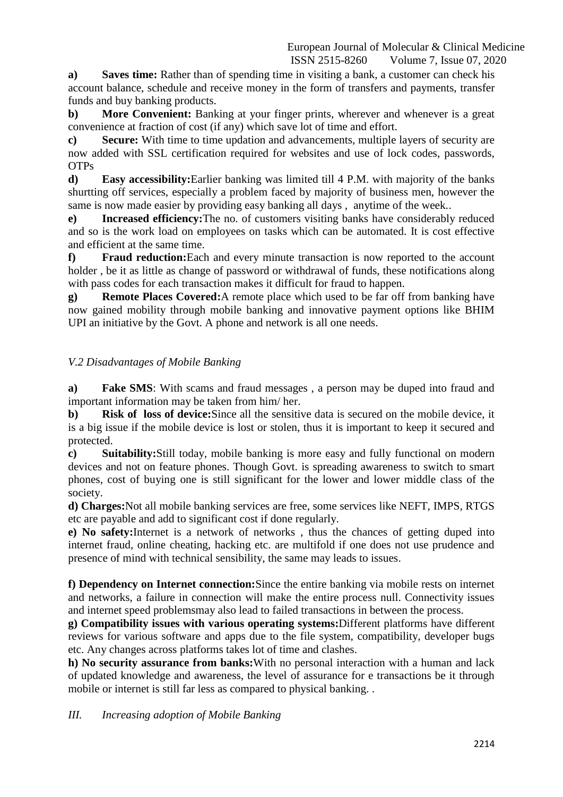**a) Saves time:** Rather than of spending time in visiting a bank, a customer can check his account balance, schedule and receive money in the form of transfers and payments, transfer funds and buy banking products.

**b) More Convenient:** Banking at your finger prints, wherever and whenever is a great convenience at fraction of cost (if any) which save lot of time and effort.

**c) Secure:** With time to time updation and advancements, multiple layers of security are now added with SSL certification required for websites and use of lock codes, passwords, OTPs

**d) Easy accessibility:**Earlier banking was limited till 4 P.M. with majority of the banks shurtting off services, especially a problem faced by majority of business men, however the same is now made easier by providing easy banking all days , anytime of the week..

**e) Increased efficiency:**The no. of customers visiting banks have considerably reduced and so is the work load on employees on tasks which can be automated. It is cost effective and efficient at the same time.

**f) Fraud reduction:**Each and every minute transaction is now reported to the account holder , be it as little as change of password or withdrawal of funds, these notifications along with pass codes for each transaction makes it difficult for fraud to happen.

**g) Remote Places Covered:**A remote place which used to be far off from banking have now gained mobility through mobile banking and innovative payment options like BHIM UPI an initiative by the Govt. A phone and network is all one needs.

## *V.2 Disadvantages of Mobile Banking*

**a) Fake SMS**: With scams and fraud messages , a person may be duped into fraud and important information may be taken from him/ her.

**b) Risk of loss of device:**Since all the sensitive data is secured on the mobile device, it is a big issue if the mobile device is lost or stolen, thus it is important to keep it secured and protected.

**c) Suitability:**Still today, mobile banking is more easy and fully functional on modern devices and not on feature phones. Though Govt. is spreading awareness to switch to smart phones, cost of buying one is still significant for the lower and lower middle class of the society.

**d) Charges:**Not all mobile banking services are free, some services like NEFT, IMPS, RTGS etc are payable and add to significant cost if done regularly.

**e) No safety:**Internet is a network of networks , thus the chances of getting duped into internet fraud, online cheating, hacking etc. are multifold if one does not use prudence and presence of mind with technical sensibility, the same may leads to issues.

**f) Dependency on Internet connection:**Since the entire banking via mobile rests on internet and networks, a failure in connection will make the entire process null. Connectivity issues and internet speed problemsmay also lead to failed transactions in between the process.

**g) Compatibility issues with various operating systems:**Different platforms have different reviews for various software and apps due to the file system, compatibility, developer bugs etc. Any changes across platforms takes lot of time and clashes.

**h) No security assurance from banks:**With no personal interaction with a human and lack of updated knowledge and awareness, the level of assurance for e transactions be it through mobile or internet is still far less as compared to physical banking. .

*III. Increasing adoption of Mobile Banking*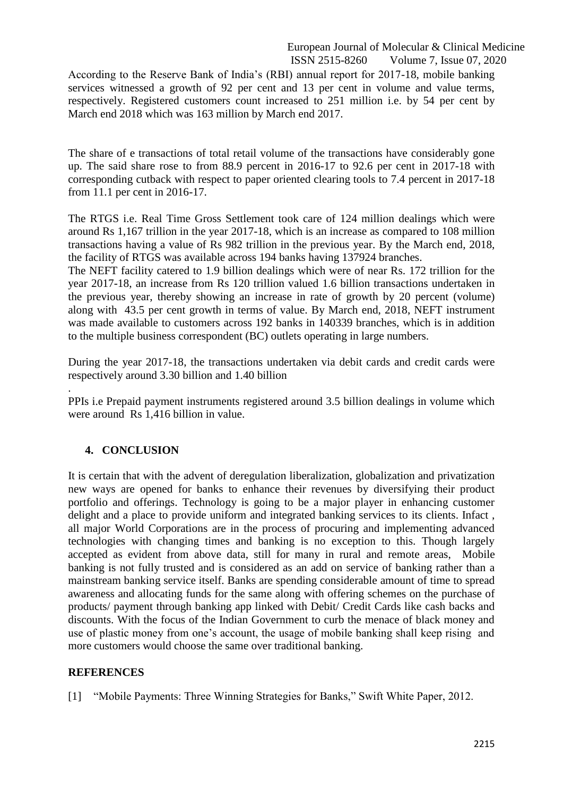European Journal of Molecular & Clinical Medicine ISSN 2515-8260 Volume 7, Issue 07, 2020

According to the Reserve Bank of India's (RBI) annual report for 2017-18, mobile banking services witnessed a growth of 92 per cent and 13 per cent in volume and value terms, respectively. Registered customers count increased to 251 million i.e. by 54 per cent by March end 2018 which was 163 million by March end 2017.

The share of e transactions of total retail volume of the transactions have considerably gone up. The said share rose to from 88.9 percent in 2016-17 to 92.6 per cent in 2017-18 with corresponding cutback with respect to paper oriented clearing tools to 7.4 percent in 2017-18 from 11.1 per cent in 2016-17.

The RTGS i.e. Real Time Gross Settlement took care of 124 million dealings which were around Rs 1,167 trillion in the year 2017-18, which is an increase as compared to 108 million transactions having a value of Rs 982 trillion in the previous year. By the March end, 2018, the facility of RTGS was available across 194 banks having 137924 branches.

The NEFT facility catered to 1.9 billion dealings which were of near Rs. 172 trillion for the year 2017-18, an increase from Rs 120 trillion valued 1.6 billion transactions undertaken in the previous year, thereby showing an increase in rate of growth by 20 percent (volume) along with 43.5 per cent growth in terms of value. By March end, 2018, NEFT instrument was made available to customers across 192 banks in 140339 branches, which is in addition to the multiple business correspondent (BC) outlets operating in large numbers.

During the year 2017-18, the transactions undertaken via debit cards and credit cards were respectively around 3.30 billion and 1.40 billion

PPIs i.e Prepaid payment instruments registered around 3.5 billion dealings in volume which were around Rs 1,416 billion in value.

## **4. CONCLUSION**

.

It is certain that with the advent of deregulation liberalization, globalization and privatization new ways are opened for banks to enhance their revenues by diversifying their product portfolio and offerings. Technology is going to be a major player in enhancing customer delight and a place to provide uniform and integrated banking services to its clients. Infact , all major World Corporations are in the process of procuring and implementing advanced technologies with changing times and banking is no exception to this. Though largely accepted as evident from above data, still for many in rural and remote areas, Mobile banking is not fully trusted and is considered as an add on service of banking rather than a mainstream banking service itself. Banks are spending considerable amount of time to spread awareness and allocating funds for the same along with offering schemes on the purchase of products/ payment through banking app linked with Debit/ Credit Cards like cash backs and discounts. With the focus of the Indian Government to curb the menace of black money and use of plastic money from one's account, the usage of mobile banking shall keep rising and more customers would choose the same over traditional banking.

#### **REFERENCES**

[1] "Mobile Payments: Three Winning Strategies for Banks," Swift White Paper, 2012.